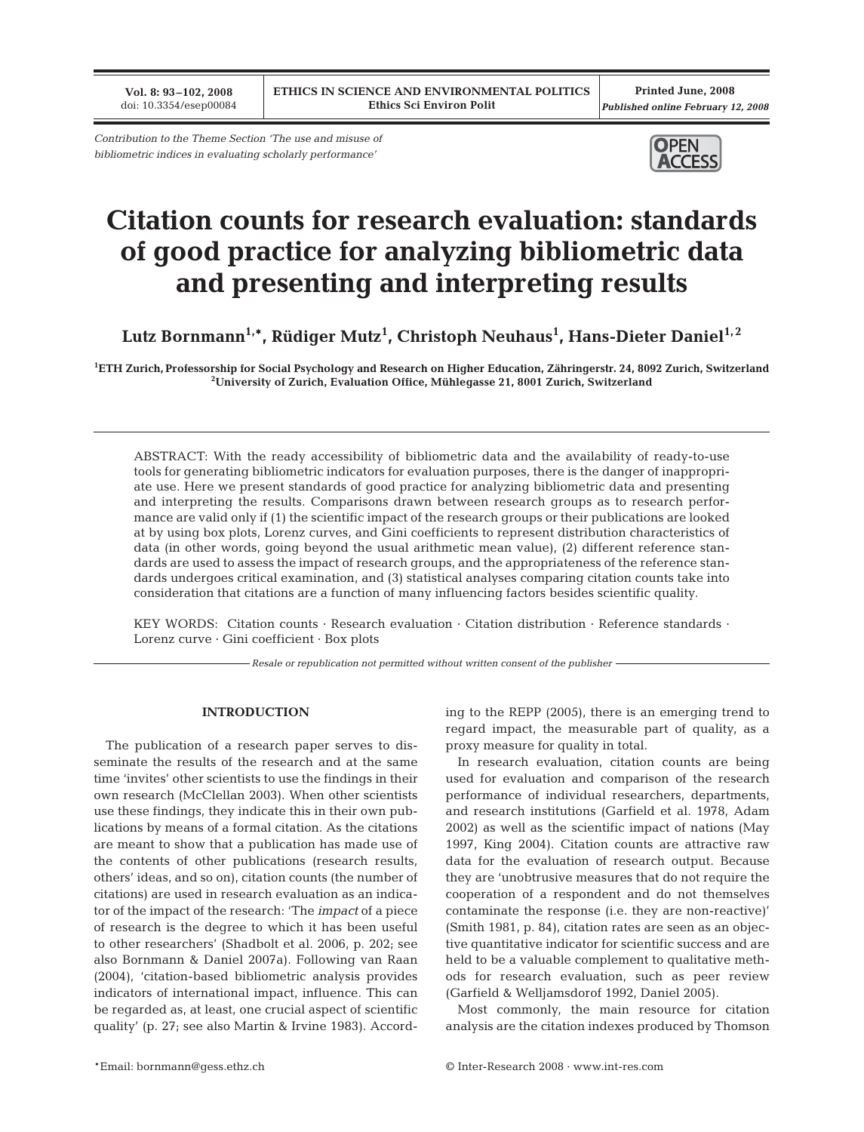**Vol. 8: 93–102, 2008** doi: 10.3354/esep00084

*Contribution to the Theme Section 'The use and misuse of bibliometric indices in evaluating scholarly performance'*



# **Citation counts for research evaluation: standards of good practice for analyzing bibliometric data and presenting and interpreting results**

Lutz Bornmann<sup>1,</sup>\*, Rüdiger Mutz<sup>1</sup>, Christoph Neuhaus<sup>1</sup>, Hans-Dieter Daniel<sup>1,2</sup>

**1 ETH Zurich, Professorship for Social Psychology and Research on Higher Education, Zähringerstr. 24, 8092 Zurich, Switzerland 2 University of Zurich, Evaluation Office, Mühlegasse 21, 8001 Zurich, Switzerland**

ABSTRACT: With the ready accessibility of bibliometric data and the availability of ready-to-use tools for generating bibliometric indicators for evaluation purposes, there is the danger of inappropriate use. Here we present standards of good practice for analyzing bibliometric data and presenting and interpreting the results. Comparisons drawn between research groups as to research performance are valid only if (1) the scientific impact of the research groups or their publications are looked at by using box plots, Lorenz curves, and Gini coefficients to represent distribution characteristics of data (in other words, going beyond the usual arithmetic mean value), (2) different reference standards are used to assess the impact of research groups, and the appropriateness of the reference standards undergoes critical examination, and (3) statistical analyses comparing citation counts take into consideration that citations are a function of many influencing factors besides scientific quality.

KEY WORDS: Citation counts · Research evaluation · Citation distribution · Reference standards · Lorenz curve · Gini coefficient · Box plots

*Resale or republication not permitted without written consent of the publisher*

# **INTRODUCTION**

The publication of a research paper serves to disseminate the results of the research and at the same time 'invites' other scientists to use the findings in their own research (McClellan 2003). When other scientists use these findings, they indicate this in their own publications by means of a formal citation. As the citations are meant to show that a publication has made use of the contents of other publications (research results, others' ideas, and so on), citation counts (the number of citations) are used in research evaluation as an indicator of the impact of the research: 'The *impact* of a piece of research is the degree to which it has been useful to other researchers' (Shadbolt et al. 2006, p. 202; see also Bornmann & Daniel 2007a). Following van Raan (2004), 'citation-based bibliometric analysis provides indicators of international impact, influence. This can be regarded as, at least, one crucial aspect of scientific quality' (p. 27; see also Martin & Irvine 1983). According to the REPP (2005), there is an emerging trend to regard impact, the measurable part of quality, as a proxy measure for quality in total.

In research evaluation, citation counts are being used for evaluation and comparison of the research performance of individual researchers, departments, and research institutions (Garfield et al. 1978, Adam 2002) as well as the scientific impact of nations (May 1997, King 2004). Citation counts are attractive raw data for the evaluation of research output. Because they are 'unobtrusive measures that do not require the cooperation of a respondent and do not themselves contaminate the response (i.e. they are non-reactive)' (Smith 1981, p. 84), citation rates are seen as an objective quantitative indicator for scientific success and are held to be a valuable complement to qualitative methods for research evaluation, such as peer review (Garfield & Welljamsdorof 1992, Daniel 2005).

Most commonly, the main resource for citation analysis are the citation indexes produced by Thomson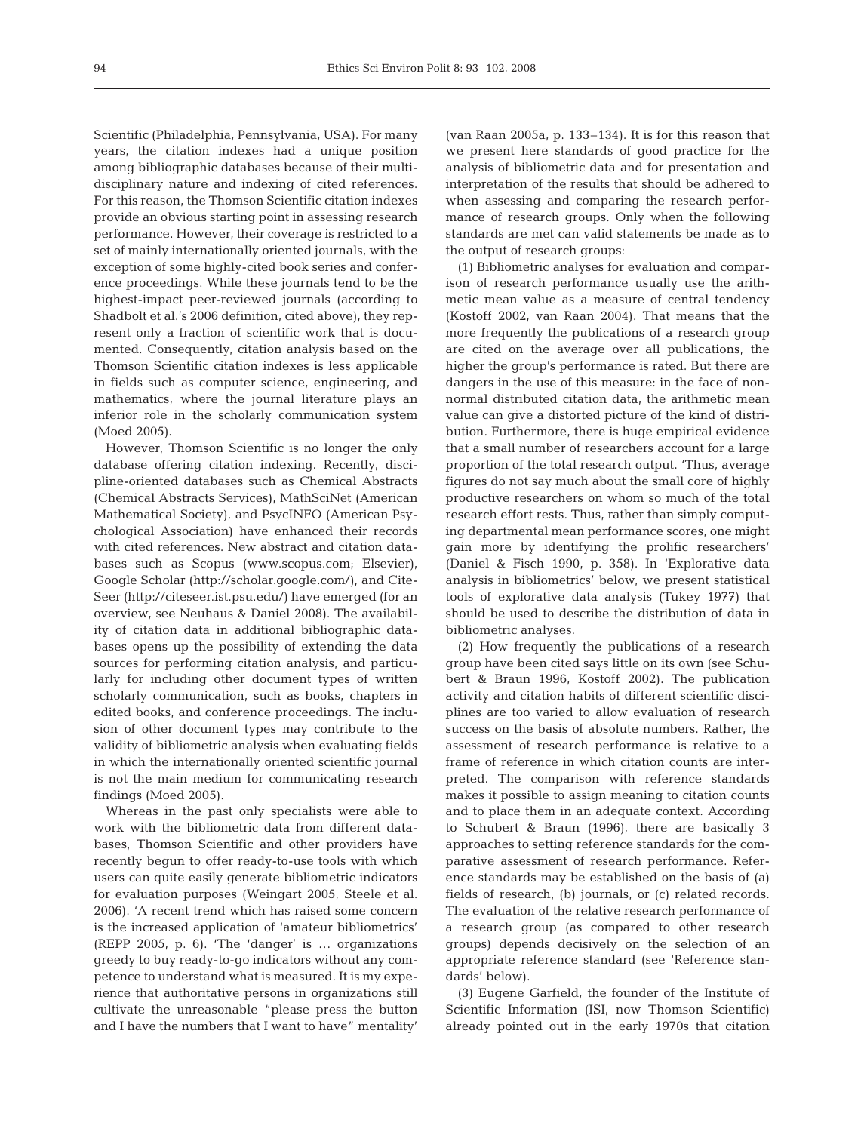Scientific (Philadelphia, Pennsylvania, USA). For many years, the citation indexes had a unique position among bibliographic databases because of their multidisciplinary nature and indexing of cited references. For this reason, the Thomson Scientific citation indexes provide an obvious starting point in assessing research performance. However, their coverage is restricted to a set of mainly internationally oriented journals, with the exception of some highly-cited book series and conference proceedings. While these journals tend to be the highest-impact peer-reviewed journals (according to Shadbolt et al.'s 2006 definition, cited above), they represent only a fraction of scientific work that is documented. Consequently, citation analysis based on the Thomson Scientific citation indexes is less applicable in fields such as computer science, engineering, and mathematics, where the journal literature plays an inferior role in the scholarly communication system (Moed 2005).

However, Thomson Scientific is no longer the only database offering citation indexing. Recently, discipline-oriented databases such as Chemical Abstracts (Chemical Abstracts Services), MathSciNet (American Mathematical Society), and PsycINFO (American Psychological Association) have enhanced their records with cited references. New abstract and citation databases such as Scopus (www.scopus.com; Elsevier), Google Scholar (http://scholar.google.com/), and Cite-Seer (http://citeseer.ist.psu.edu/) have emerged (for an overview, see Neuhaus & Daniel 2008). The availability of citation data in additional bibliographic databases opens up the possibility of extending the data sources for performing citation analysis, and particularly for including other document types of written scholarly communication, such as books, chapters in edited books, and conference proceedings. The inclusion of other document types may contribute to the validity of bibliometric analysis when evaluating fields in which the internationally oriented scientific journal is not the main medium for communicating research findings (Moed 2005).

Whereas in the past only specialists were able to work with the bibliometric data from different databases, Thomson Scientific and other providers have recently begun to offer ready-to-use tools with which users can quite easily generate bibliometric indicators for evaluation purposes (Weingart 2005, Steele et al. 2006). 'A recent trend which has raised some concern is the increased application of 'amateur bibliometrics' (REPP 2005, p. 6). 'The 'danger' is … organizations greedy to buy ready-to-go indicators without any competence to understand what is measured. It is my experience that authoritative persons in organizations still cultivate the unreasonable "please press the button and I have the numbers that I want to have" mentality'

(van Raan 2005a, p. 133–134). It is for this reason that we present here standards of good practice for the analysis of bibliometric data and for presentation and interpretation of the results that should be adhered to when assessing and comparing the research performance of research groups. Only when the following standards are met can valid statements be made as to the output of research groups:

(1) Bibliometric analyses for evaluation and comparison of research performance usually use the arithmetic mean value as a measure of central tendency (Kostoff 2002, van Raan 2004). That means that the more frequently the publications of a research group are cited on the average over all publications, the higher the group's performance is rated. But there are dangers in the use of this measure: in the face of nonnormal distributed citation data, the arithmetic mean value can give a distorted picture of the kind of distribution. Furthermore, there is huge empirical evidence that a small number of researchers account for a large proportion of the total research output. 'Thus, average figures do not say much about the small core of highly productive researchers on whom so much of the total research effort rests. Thus, rather than simply computing departmental mean performance scores, one might gain more by identifying the prolific researchers' (Daniel & Fisch 1990, p. 358). In 'Explorative data analysis in bibliometrics' below, we present statistical tools of explorative data analysis (Tukey 1977) that should be used to describe the distribution of data in bibliometric analyses.

(2) How frequently the publications of a research group have been cited says little on its own (see Schubert & Braun 1996, Kostoff 2002). The publication activity and citation habits of different scientific disciplines are too varied to allow evaluation of research success on the basis of absolute numbers. Rather, the assessment of research performance is relative to a frame of reference in which citation counts are interpreted. The comparison with reference standards makes it possible to assign meaning to citation counts and to place them in an adequate context. According to Schubert & Braun (1996), there are basically 3 approaches to setting reference standards for the comparative assessment of research performance. Reference standards may be established on the basis of (a) fields of research, (b) journals, or (c) related records. The evaluation of the relative research performance of a research group (as compared to other research groups) depends decisively on the selection of an appropriate reference standard (see 'Reference standards' below).

(3) Eugene Garfield, the founder of the Institute of Scientific Information (ISI, now Thomson Scientific) already pointed out in the early 1970s that citation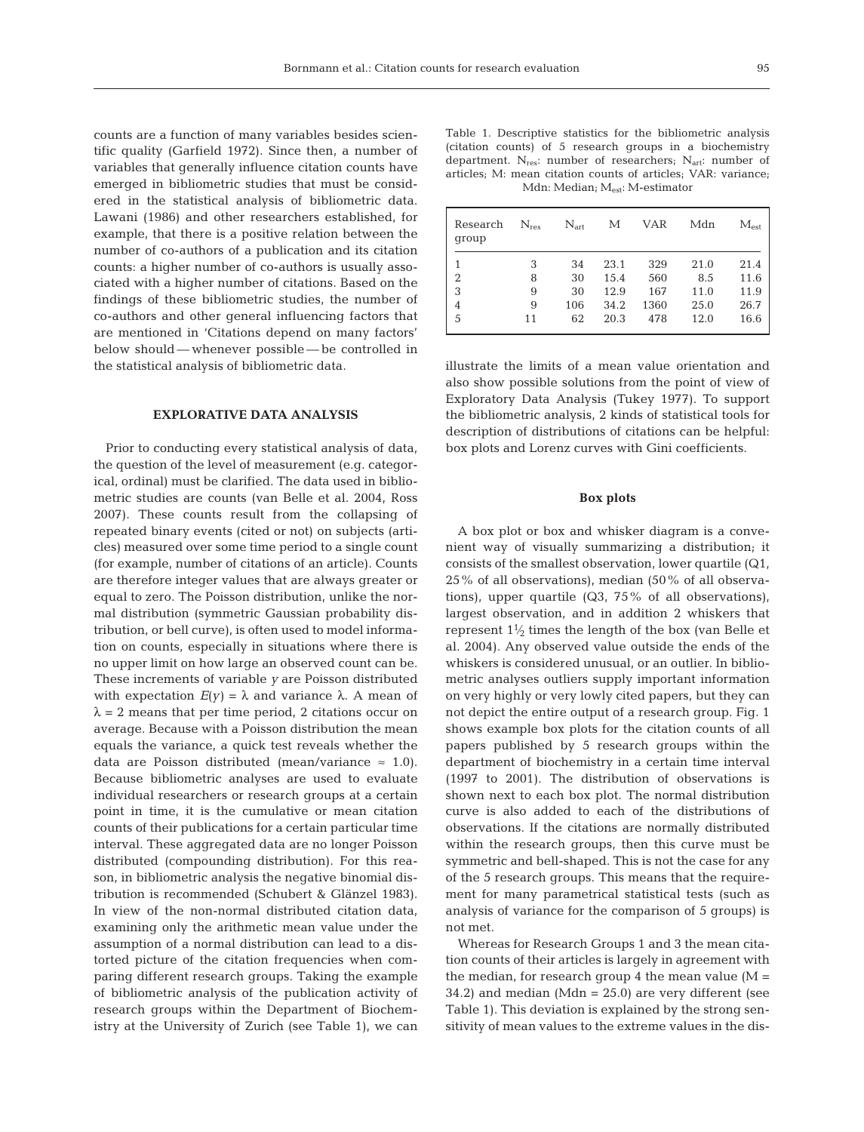counts are a function of many variables besides scientific quality (Garfield 1972). Since then, a number of variables that generally influence citation counts have emerged in bibliometric studies that must be considered in the statistical analysis of bibliometric data. Lawani (1986) and other researchers established, for example, that there is a positive relation between the number of co-authors of a publication and its citation counts: a higher number of co-authors is usually associated with a higher number of citations. Based on the findings of these bibliometric studies, the number of co-authors and other general influencing factors that are mentioned in 'Citations depend on many factors' below should — whenever possible — be controlled in the statistical analysis of bibliometric data.

# **EXPLORATIVE DATA ANALYSIS**

Prior to conducting every statistical analysis of data, the question of the level of measurement (e.g. categorical, ordinal) must be clarified. The data used in bibliometric studies are counts (van Belle et al. 2004, Ross 2007). These counts result from the collapsing of repeated binary events (cited or not) on subjects (articles) measured over some time period to a single count (for example, number of citations of an article). Counts are therefore integer values that are always greater or equal to zero. The Poisson distribution, unlike the normal distribution (symmetric Gaussian probability distribution, or bell curve), is often used to model information on counts, especially in situations where there is no upper limit on how large an observed count can be. These increments of variable *y* are Poisson distributed with expectation  $E(y) = \lambda$  and variance  $\lambda$ . A mean of  $\lambda = 2$  means that per time period, 2 citations occur on average. Because with a Poisson distribution the mean equals the variance, a quick test reveals whether the data are Poisson distributed (mean/variance  $\approx$  1.0). Because bibliometric analyses are used to evaluate individual researchers or research groups at a certain point in time, it is the cumulative or mean citation counts of their publications for a certain particular time interval. These aggregated data are no longer Poisson distributed (compounding distribution). For this reason, in bibliometric analysis the negative binomial distribution is recommended (Schubert & Glänzel 1983). In view of the non-normal distributed citation data, examining only the arithmetic mean value under the assumption of a normal distribution can lead to a distorted picture of the citation frequencies when comparing different research groups. Taking the example of bibliometric analysis of the publication activity of research groups within the Department of Biochemistry at the University of Zurich (see Table 1), we can

| Table 1. Descriptive statistics for the bibliometric analysis        |
|----------------------------------------------------------------------|
| (citation counts) of 5 research groups in a biochemistry             |
| department. $N_{res}$ : number of researchers; $N_{art}$ : number of |
| articles; M: mean citation counts of articles; VAR: variance;        |
| Mdn: Median; $M_{\rm est}$ : M-estimator                             |
|                                                                      |

| Research<br>group | $N_{res}$ | $N_{\rm art}$ | М    | VAR  | Mdn  | $\rm M_{est}$ |
|-------------------|-----------|---------------|------|------|------|---------------|
| 1                 | 3         | 34            | 23.1 | 329  | 21.0 | 21.4          |
| $\overline{2}$    | 8         | 30            | 15.4 | 560  | 8.5  | 11.6          |
| 3                 | 9         | 30            | 12.9 | 167  | 11.0 | 11.9          |
| $\overline{4}$    | 9         | 106           | 34.2 | 1360 | 25.0 | 26.7          |
| 5                 | 11        | 62            | 20.3 | 478  | 12.0 | 16.6          |

illustrate the limits of a mean value orientation and also show possible solutions from the point of view of Exploratory Data Analysis (Tukey 1977). To support the bibliometric analysis, 2 kinds of statistical tools for description of distributions of citations can be helpful: box plots and Lorenz curves with Gini coefficients.

## **Box plots**

A box plot or box and whisker diagram is a convenient way of visually summarizing a distribution; it consists of the smallest observation, lower quartile (Q1, 25% of all observations), median (50% of all observations), upper quartile (Q3, 75% of all observations), largest observation, and in addition 2 whiskers that represent  $1\frac{1}{2}$  times the length of the box (van Belle et al. 2004). Any observed value outside the ends of the whiskers is considered unusual, or an outlier. In bibliometric analyses outliers supply important information on very highly or very lowly cited papers, but they can not depict the entire output of a research group. Fig. 1 shows example box plots for the citation counts of all papers published by 5 research groups within the department of biochemistry in a certain time interval (1997 to 2001). The distribution of observations is shown next to each box plot. The normal distribution curve is also added to each of the distributions of observations. If the citations are normally distributed within the research groups, then this curve must be symmetric and bell-shaped. This is not the case for any of the 5 research groups. This means that the requirement for many parametrical statistical tests (such as analysis of variance for the comparison of 5 groups) is not met.

Whereas for Research Groups 1 and 3 the mean citation counts of their articles is largely in agreement with the median, for research group 4 the mean value  $(M =$ 34.2) and median (Mdn =  $25.0$ ) are very different (see Table 1). This deviation is explained by the strong sensitivity of mean values to the extreme values in the dis-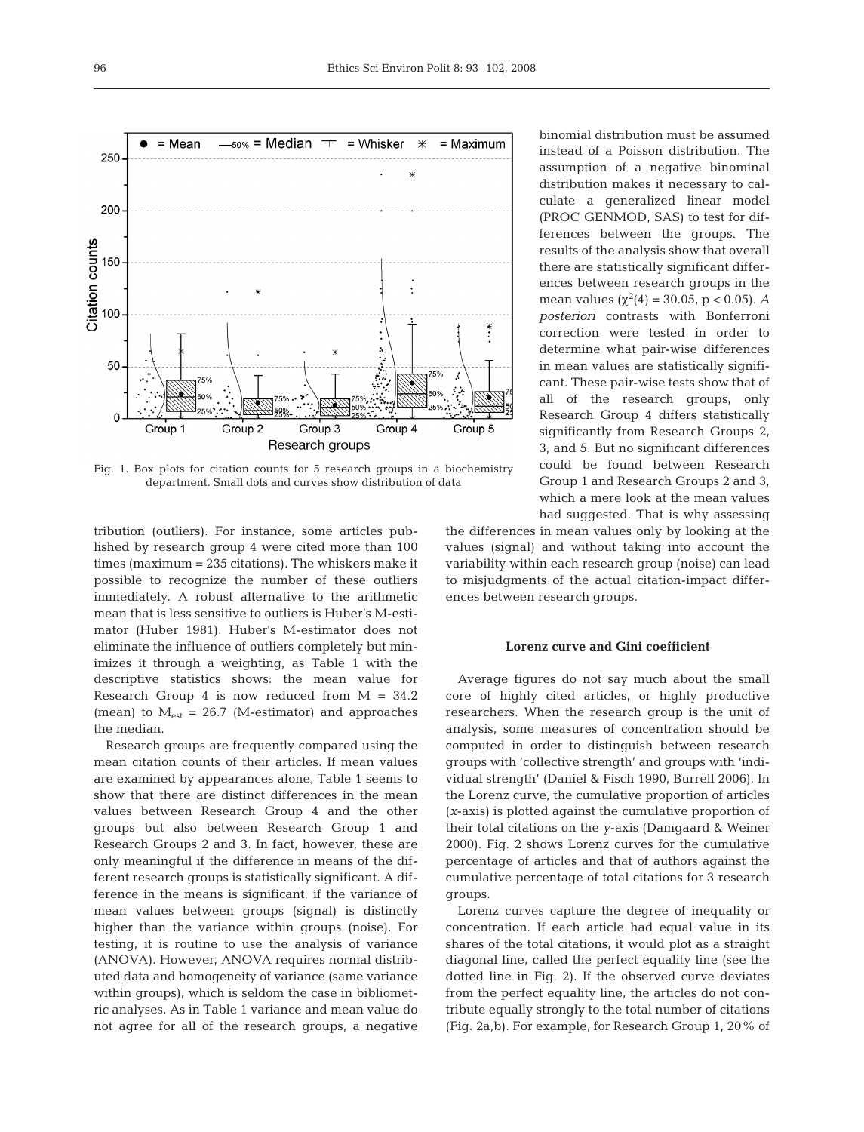

Fig. 1. Box plots for citation counts for 5 research groups in a biochemistry department. Small dots and curves show distribution of data

tribution (outliers). For instance, some articles published by research group 4 were cited more than 100 times (maximum = 235 citations). The whiskers make it possible to recognize the number of these outliers immediately. A robust alternative to the arithmetic mean that is less sensitive to outliers is Huber's M-estimator (Huber 1981). Huber's M-estimator does not eliminate the influence of outliers completely but minimizes it through a weighting, as Table 1 with the descriptive statistics shows: the mean value for Research Group 4 is now reduced from  $M = 34.2$ (mean) to  $M_{est} = 26.7$  (M-estimator) and approaches the median.

Research groups are frequently compared using the mean citation counts of their articles. If mean values are examined by appearances alone, Table 1 seems to show that there are distinct differences in the mean values between Research Group 4 and the other groups but also between Research Group 1 and Research Groups 2 and 3. In fact, however, these are only meaningful if the difference in means of the different research groups is statistically significant. A difference in the means is significant, if the variance of mean values between groups (signal) is distinctly higher than the variance within groups (noise). For testing, it is routine to use the analysis of variance (ANOVA). However, ANOVA requires normal distributed data and homogeneity of variance (same variance within groups), which is seldom the case in bibliometric analyses. As in Table 1 variance and mean value do not agree for all of the research groups, a negative

binomial distribution must be assumed instead of a Poisson distribution. The assumption of a negative binominal distribution makes it necessary to calculate a generalized linear model (PROC GENMOD, SAS) to test for differences between the groups. The results of the analysis show that overall there are statistically significant differences between research groups in the mean values ( $\chi^2(4) = 30.05$ , p < 0.05). *A posteriori* contrasts with Bonferroni correction were tested in order to determine what pair-wise differences in mean values are statistically significant. These pair-wise tests show that of all of the research groups, only Research Group 4 differs statistically significantly from Research Groups 2, 3, and 5. But no significant differences could be found between Research Group 1 and Research Groups 2 and 3, which a mere look at the mean values had suggested. That is why assessing

the differences in mean values only by looking at the values (signal) and without taking into account the variability within each research group (noise) can lead to misjudgments of the actual citation-impact differences between research groups.

## **Lorenz curve and Gini coefficient**

Average figures do not say much about the small core of highly cited articles, or highly productive researchers. When the research group is the unit of analysis, some measures of concentration should be computed in order to distinguish between research groups with 'collective strength' and groups with 'individual strength' (Daniel & Fisch 1990, Burrell 2006). In the Lorenz curve, the cumulative proportion of articles (*x*-axis) is plotted against the cumulative proportion of their total citations on the *y*-axis (Damgaard & Weiner 2000). Fig. 2 shows Lorenz curves for the cumulative percentage of articles and that of authors against the cumulative percentage of total citations for 3 research groups.

Lorenz curves capture the degree of inequality or concentration. If each article had equal value in its shares of the total citations, it would plot as a straight diagonal line, called the perfect equality line (see the dotted line in Fig. 2). If the observed curve deviates from the perfect equality line, the articles do not contribute equally strongly to the total number of citations (Fig. 2a,b). For example, for Research Group 1, 20% of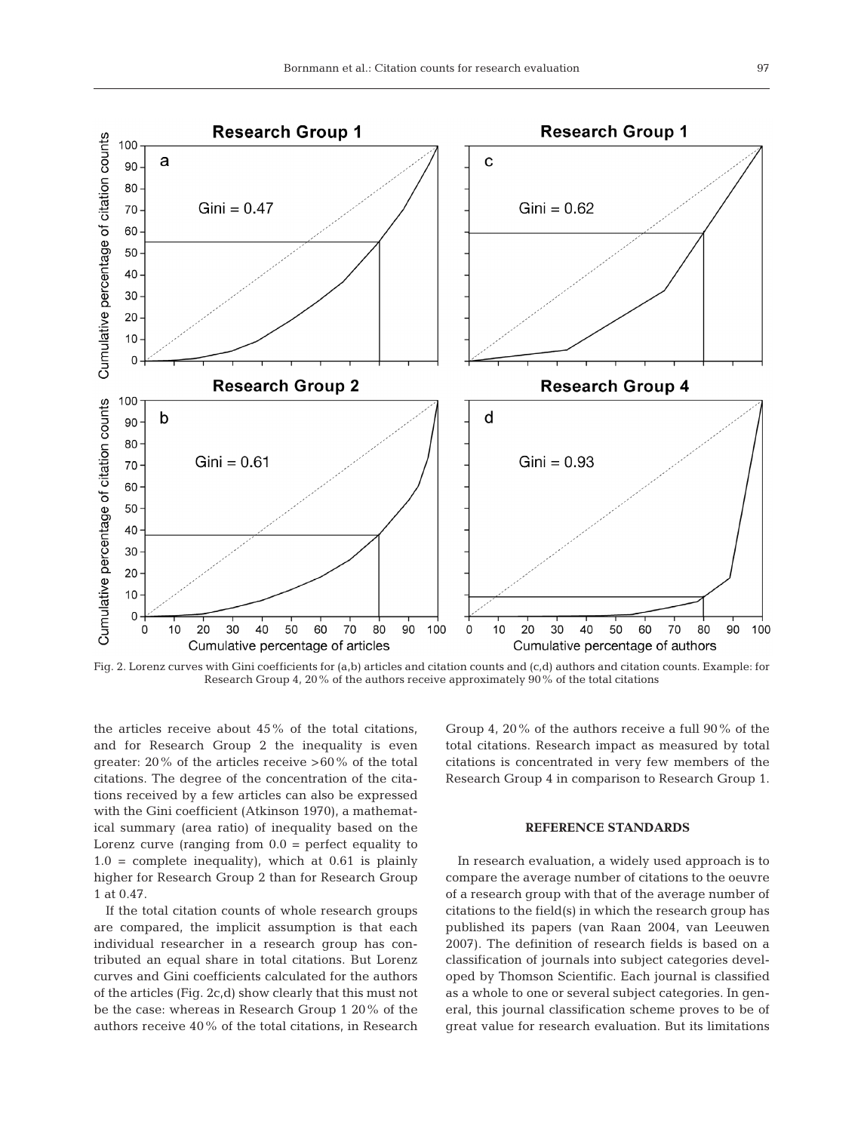

Fig. 2. Lorenz curves with Gini coefficients for (a,b) articles and citation counts and (c,d) authors and citation counts. Example: for Research Group 4, 20% of the authors receive approximately 90% of the total citations

the articles receive about 45% of the total citations, and for Research Group 2 the inequality is even greater: 20% of the articles receive >60% of the total citations. The degree of the concentration of the citations received by a few articles can also be expressed with the Gini coefficient (Atkinson 1970), a mathematical summary (area ratio) of inequality based on the Lorenz curve (ranging from  $0.0$  = perfect equality to  $1.0 =$  complete inequality), which at 0.61 is plainly higher for Research Group 2 than for Research Group 1 at 0.47.

If the total citation counts of whole research groups are compared, the implicit assumption is that each individual researcher in a research group has contributed an equal share in total citations. But Lorenz curves and Gini coefficients calculated for the authors of the articles (Fig. 2c,d) show clearly that this must not be the case: whereas in Research Group 1 20% of the authors receive 40% of the total citations, in Research Group 4, 20% of the authors receive a full 90% of the total citations. Research impact as measured by total citations is concentrated in very few members of the Research Group 4 in comparison to Research Group 1.

## **REFERENCE STANDARDS**

In research evaluation, a widely used approach is to compare the average number of citations to the oeuvre of a research group with that of the average number of citations to the field(s) in which the research group has published its papers (van Raan 2004, van Leeuwen 2007). The definition of research fields is based on a classification of journals into subject categories developed by Thomson Scientific. Each journal is classified as a whole to one or several subject categories. In general, this journal classification scheme proves to be of great value for research evaluation. But its limitations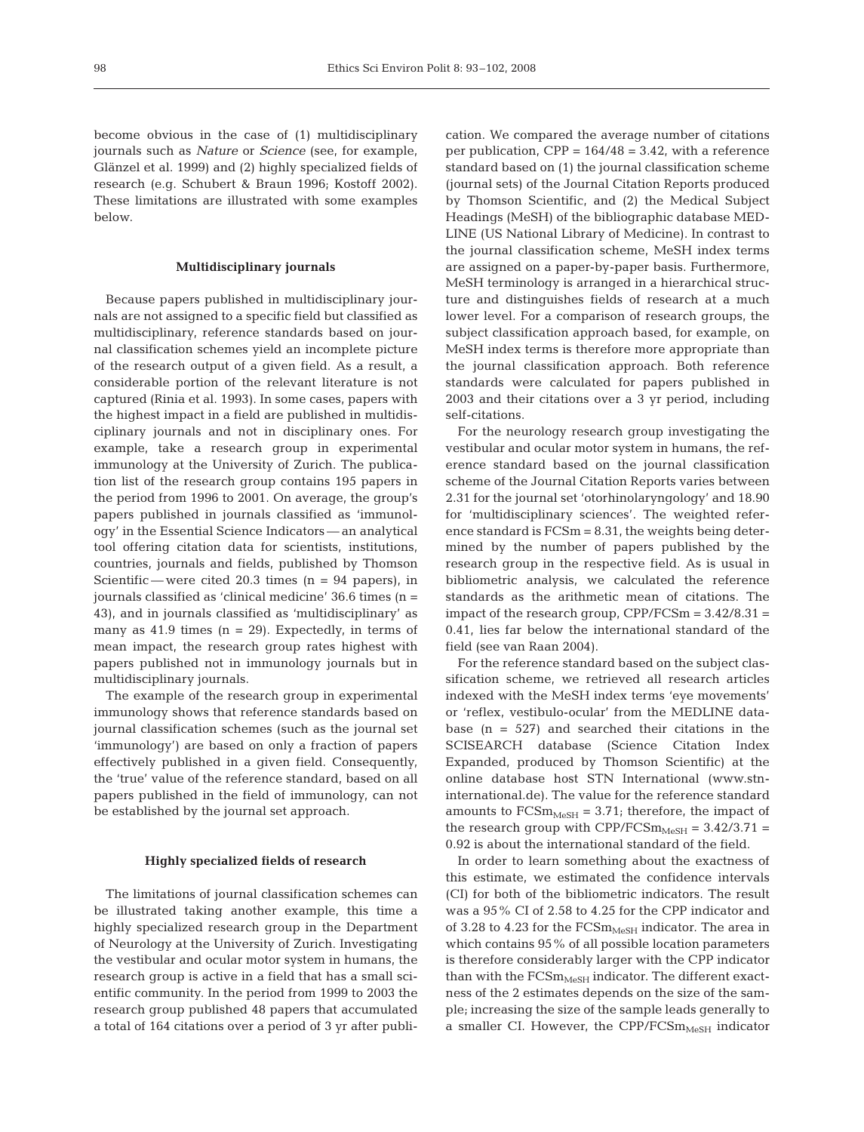become obvious in the case of (1) multidisciplinary journals such as *Nature* or *Science* (see, for example, Glänzel et al. 1999) and (2) highly specialized fields of research (e.g. Schubert & Braun 1996; Kostoff 2002). These limitations are illustrated with some examples below.

## **Multidisciplinary journals**

Because papers published in multidisciplinary journals are not assigned to a specific field but classified as multidisciplinary, reference standards based on journal classification schemes yield an incomplete picture of the research output of a given field. As a result, a considerable portion of the relevant literature is not captured (Rinia et al. 1993). In some cases, papers with the highest impact in a field are published in multidisciplinary journals and not in disciplinary ones. For example, take a research group in experimental immunology at the University of Zurich. The publication list of the research group contains 195 papers in the period from 1996 to 2001. On average, the group's papers published in journals classified as 'immunology' in the Essential Science Indicators — an analytical tool offering citation data for scientists, institutions, countries, journals and fields, published by Thomson Scientific — were cited 20.3 times  $(n = 94$  papers), in journals classified as 'clinical medicine' 36.6 times (n = 43), and in journals classified as 'multidisciplinary' as many as  $41.9$  times (n = 29). Expectedly, in terms of mean impact, the research group rates highest with papers published not in immunology journals but in multidisciplinary journals.

The example of the research group in experimental immunology shows that reference standards based on journal classification schemes (such as the journal set 'immunology') are based on only a fraction of papers effectively published in a given field. Consequently, the 'true' value of the reference standard, based on all papers published in the field of immunology, can not be established by the journal set approach.

## **Highly specialized fields of research**

The limitations of journal classification schemes can be illustrated taking another example, this time a highly specialized research group in the Department of Neurology at the University of Zurich. Investigating the vestibular and ocular motor system in humans, the research group is active in a field that has a small scientific community. In the period from 1999 to 2003 the research group published 48 papers that accumulated a total of 164 citations over a period of 3 yr after publication. We compared the average number of citations per publication,  $CPP = 164/48 = 3.42$ , with a reference standard based on (1) the journal classification scheme (journal sets) of the Journal Citation Reports produced by Thomson Scientific, and (2) the Medical Subject Headings (MeSH) of the bibliographic database MED-LINE (US National Library of Medicine). In contrast to the journal classification scheme, MeSH index terms are assigned on a paper-by-paper basis. Furthermore, MeSH terminology is arranged in a hierarchical structure and distinguishes fields of research at a much lower level. For a comparison of research groups, the subject classification approach based, for example, on MeSH index terms is therefore more appropriate than the journal classification approach. Both reference standards were calculated for papers published in 2003 and their citations over a 3 yr period, including self-citations.

For the neurology research group investigating the vestibular and ocular motor system in humans, the reference standard based on the journal classification scheme of the Journal Citation Reports varies between 2.31 for the journal set 'otorhinolaryngology' and 18.90 for 'multidisciplinary sciences'. The weighted reference standard is FCSm = 8.31, the weights being determined by the number of papers published by the research group in the respective field. As is usual in bibliometric analysis, we calculated the reference standards as the arithmetic mean of citations. The impact of the research group,  $CPP/FCSm = 3.42/8.31 =$ 0.41, lies far below the international standard of the field (see van Raan 2004).

For the reference standard based on the subject classification scheme, we retrieved all research articles indexed with the MeSH index terms 'eye movements' or 'reflex, vestibulo-ocular' from the MEDLINE database  $(n = 527)$  and searched their citations in the SCISEARCH database (Science Citation Index Expanded, produced by Thomson Scientific) at the online database host STN International (www.stninternational.de). The value for the reference standard amounts to  $\text{FCSm}_{\text{MeSH}} = 3.71$ ; therefore, the impact of the research group with CPP/FCS $m_{Mest}$  = 3.42/3.71 = 0.92 is about the international standard of the field.

In order to learn something about the exactness of this estimate, we estimated the confidence intervals (CI) for both of the bibliometric indicators. The result was a 95% CI of 2.58 to 4.25 for the CPP indicator and of 3.28 to 4.23 for the  $\text{FCSm}_{\text{MeSH}}$  indicator. The area in which contains 95% of all possible location parameters is therefore considerably larger with the CPP indicator than with the  $FCSm_{MeSH}$  indicator. The different exactness of the 2 estimates depends on the size of the sample; increasing the size of the sample leads generally to a smaller CI. However, the CPP/FCS $m_{Mest}$  indicator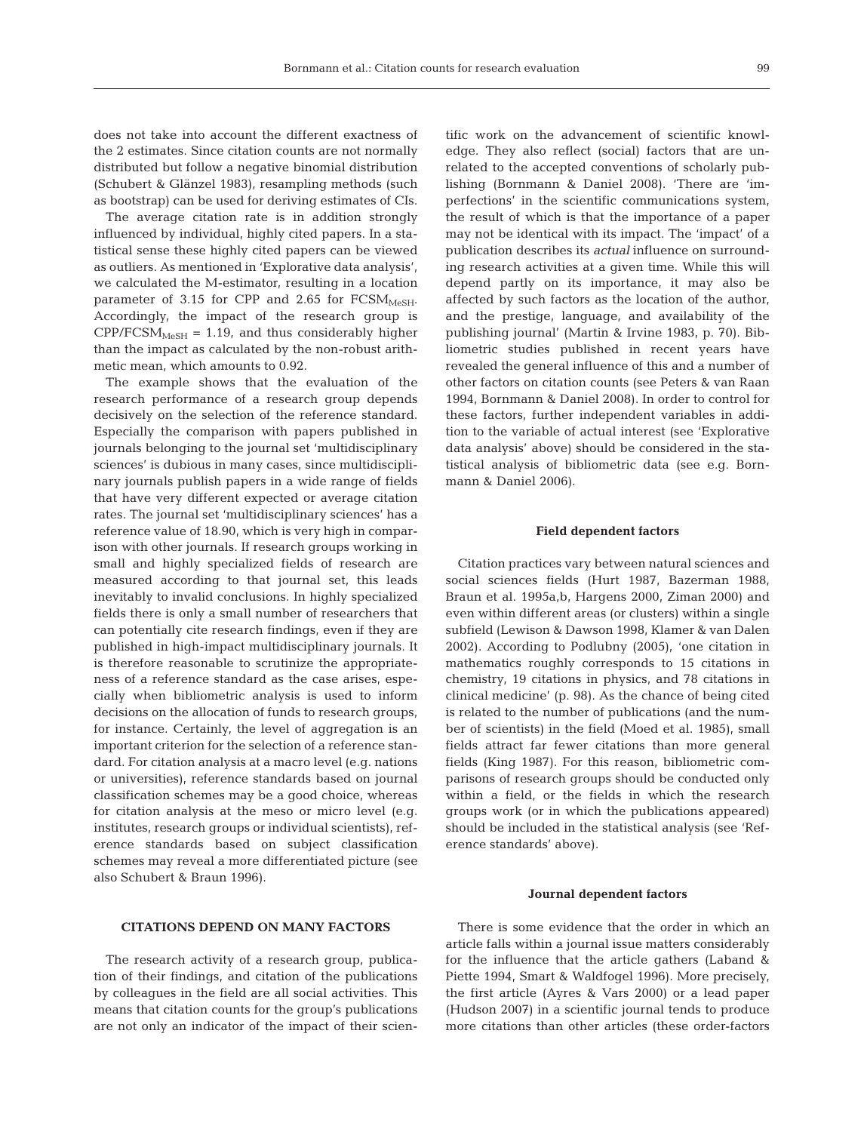does not take into account the different exactness of the 2 estimates. Since citation counts are not normally distributed but follow a negative binomial distribution (Schubert & Glänzel 1983), resampling methods (such as bootstrap) can be used for deriving estimates of CIs.

The average citation rate is in addition strongly influenced by individual, highly cited papers. In a statistical sense these highly cited papers can be viewed as outliers. As mentioned in 'Explorative data analysis', we calculated the M-estimator, resulting in a location parameter of 3.15 for CPP and 2.65 for  $FCSM<sub>MeSH</sub>$ . Accordingly, the impact of the research group is  $CPP/FCSM<sub>MeSH</sub> = 1.19$ , and thus considerably higher than the impact as calculated by the non-robust arithmetic mean, which amounts to 0.92.

The example shows that the evaluation of the research performance of a research group depends decisively on the selection of the reference standard. Especially the comparison with papers published in journals belonging to the journal set 'multidisciplinary sciences' is dubious in many cases, since multidisciplinary journals publish papers in a wide range of fields that have very different expected or average citation rates. The journal set 'multidisciplinary sciences' has a reference value of 18.90, which is very high in comparison with other journals. If research groups working in small and highly specialized fields of research are measured according to that journal set, this leads inevitably to invalid conclusions. In highly specialized fields there is only a small number of researchers that can potentially cite research findings, even if they are published in high-impact multidisciplinary journals. It is therefore reasonable to scrutinize the appropriateness of a reference standard as the case arises, especially when bibliometric analysis is used to inform decisions on the allocation of funds to research groups, for instance. Certainly, the level of aggregation is an important criterion for the selection of a reference standard. For citation analysis at a macro level (e.g. nations or universities), reference standards based on journal classification schemes may be a good choice, whereas for citation analysis at the meso or micro level (e.g. institutes, research groups or individual scientists), reference standards based on subject classification schemes may reveal a more differentiated picture (see also Schubert & Braun 1996).

# tific work on the advancement of scientific knowledge. They also reflect (social) factors that are unrelated to the accepted conventions of scholarly publishing (Bornmann & Daniel 2008). 'There are 'imperfections' in the scientific communications system, the result of which is that the importance of a paper may not be identical with its impact*.* The 'impact' of a publication describes its *actual* influence on surrounding research activities at a given time. While this will depend partly on its importance, it may also be affected by such factors as the location of the author, and the prestige, language, and availability of the publishing journal' (Martin & Irvine 1983, p. 70). Bibliometric studies published in recent years have revealed the general influence of this and a number of other factors on citation counts (see Peters & van Raan 1994, Bornmann & Daniel 2008). In order to control for these factors, further independent variables in addition to the variable of actual interest (see 'Explorative data analysis' above) should be considered in the statistical analysis of bibliometric data (see e.g. Bornmann & Daniel 2006).

## **Field dependent factors**

Citation practices vary between natural sciences and social sciences fields (Hurt 1987, Bazerman 1988, Braun et al. 1995a,b, Hargens 2000, Ziman 2000) and even within different areas (or clusters) within a single subfield (Lewison & Dawson 1998, Klamer & van Dalen 2002). According to Podlubny (2005), 'one citation in mathematics roughly corresponds to 15 citations in chemistry, 19 citations in physics, and 78 citations in clinical medicine' (p. 98). As the chance of being cited is related to the number of publications (and the number of scientists) in the field (Moed et al. 1985), small fields attract far fewer citations than more general fields (King 1987). For this reason, bibliometric comparisons of research groups should be conducted only within a field, or the fields in which the research groups work (or in which the publications appeared) should be included in the statistical analysis (see 'Reference standards' above).

## **Journal dependent factors**

There is some evidence that the order in which an article falls within a journal issue matters considerably for the influence that the article gathers (Laband & Piette 1994, Smart & Waldfogel 1996). More precisely, the first article (Ayres & Vars 2000) or a lead paper (Hudson 2007) in a scientific journal tends to produce more citations than other articles (these order-factors

## **CITATIONS DEPEND ON MANY FACTORS**

The research activity of a research group, publication of their findings, and citation of the publications by colleagues in the field are all social activities. This means that citation counts for the group's publications are not only an indicator of the impact of their scien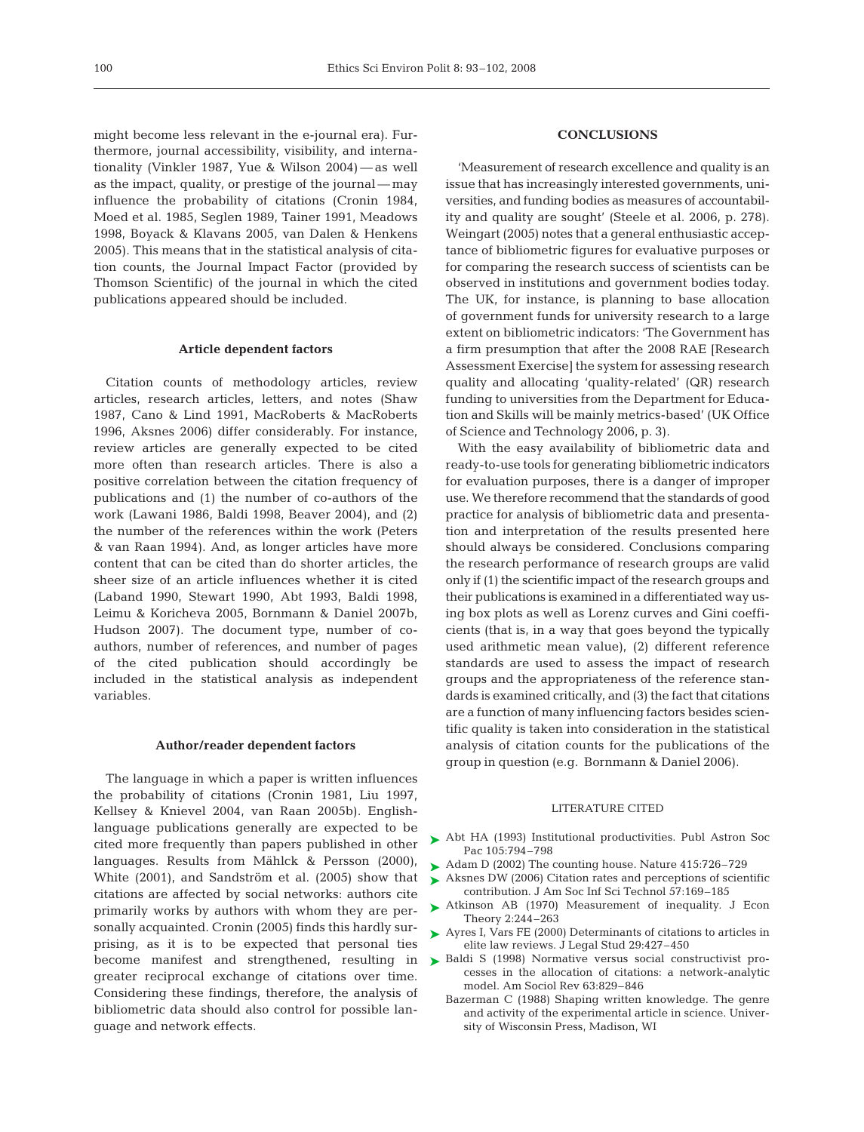might become less relevant in the e-journal era). Furthermore, journal accessibility, visibility, and internationality (Vinkler 1987, Yue & Wilson 2004) — as well as the impact, quality, or prestige of the journal — may influence the probability of citations (Cronin 1984, Moed et al. 1985, Seglen 1989, Tainer 1991, Meadows 1998, Boyack & Klavans 2005, van Dalen & Henkens 2005). This means that in the statistical analysis of citation counts, the Journal Impact Factor (provided by Thomson Scientific) of the journal in which the cited publications appeared should be included.

## **Article dependent factors**

Citation counts of methodology articles, review articles, research articles, letters, and notes (Shaw 1987, Cano & Lind 1991, MacRoberts & MacRoberts 1996, Aksnes 2006) differ considerably. For instance, review articles are generally expected to be cited more often than research articles. There is also a positive correlation between the citation frequency of publications and (1) the number of co-authors of the work (Lawani 1986, Baldi 1998, Beaver 2004), and (2) the number of the references within the work (Peters & van Raan 1994). And, as longer articles have more content that can be cited than do shorter articles, the sheer size of an article influences whether it is cited (Laband 1990, Stewart 1990, Abt 1993, Baldi 1998, Leimu & Koricheva 2005, Bornmann & Daniel 2007b, Hudson 2007). The document type, number of coauthors, number of references, and number of pages of the cited publication should accordingly be included in the statistical analysis as independent variables.

## **Author/reader dependent factors**

The language in which a paper is written influences the probability of citations (Cronin 1981, Liu 1997, Kellsey & Knievel 2004, van Raan 2005b). Englishlanguage publications generally are expected to be cited more frequently than papers published in other languages. Results from Mählck & Persson (2000), White (2001), and Sandström et al. (2005) show that citations are affected by social networks: authors cite primarily works by authors with whom they are personally acquainted. Cronin (2005) finds this hardly surprising, as it is to be expected that personal ties become manifest and strengthened, resulting in  $\blacktriangleright$  Baldi S (1998) Normative versus social constructivist progreater reciprocal exchange of citations over time. Considering these findings, therefore, the analysis of bibliometric data should also control for possible language and network effects.

# **CONCLUSIONS**

'Measurement of research excellence and quality is an issue that has increasingly interested governments, universities, and funding bodies as measures of accountability and quality are sought' (Steele et al. 2006, p. 278). Weingart (2005) notes that a general enthusiastic acceptance of bibliometric figures for evaluative purposes or for comparing the research success of scientists can be observed in institutions and government bodies today. The UK, for instance, is planning to base allocation of government funds for university research to a large extent on bibliometric indicators: 'The Government has a firm presumption that after the 2008 RAE [Research Assessment Exercise] the system for assessing research quality and allocating 'quality-related' (QR) research funding to universities from the Department for Education and Skills will be mainly metrics-based' (UK Office of Science and Technology 2006, p. 3).

With the easy availability of bibliometric data and ready-to-use tools for generating bibliometric indicators for evaluation purposes, there is a danger of improper use. We therefore recommend that the standards of good practice for analysis of bibliometric data and presentation and interpretation of the results presented here should always be considered. Conclusions comparing the research performance of research groups are valid only if (1) the scientific impact of the research groups and their publications is examined in a differentiated way using box plots as well as Lorenz curves and Gini coefficients (that is, in a way that goes beyond the typically used arithmetic mean value), (2) different reference standards are used to assess the impact of research groups and the appropriateness of the reference standards is examined critically, and (3) the fact that citations are a function of many influencing factors besides scientific quality is taken into consideration in the statistical analysis of citation counts for the publications of the group in question (e.g. Bornmann & Daniel 2006).

## LITERATURE CITED

- ▶ Abt HA (1993) Institutional productivities. Publ Astron Soc Pac 105:794–798
- ▶ Adam D (2002) The counting house. Nature 415:726-729
- ▶ Aksnes DW (2006) Citation rates and perceptions of scientific contribution. J Am Soc Inf Sci Technol 57:169–185
- ▶ Atkinson AB (1970) Measurement of inequality. J Econ Theory 2:244–263
- ▶ Ayres I, Vars FE (2000) Determinants of citations to articles in elite law reviews. J Legal Stud 29:427–450
- cesses in the allocation of citations: a network-analytic model. Am Sociol Rev 63:829–846
- Bazerman C (1988) Shaping written knowledge. The genre and activity of the experimental article in science. University of Wisconsin Press, Madison, WI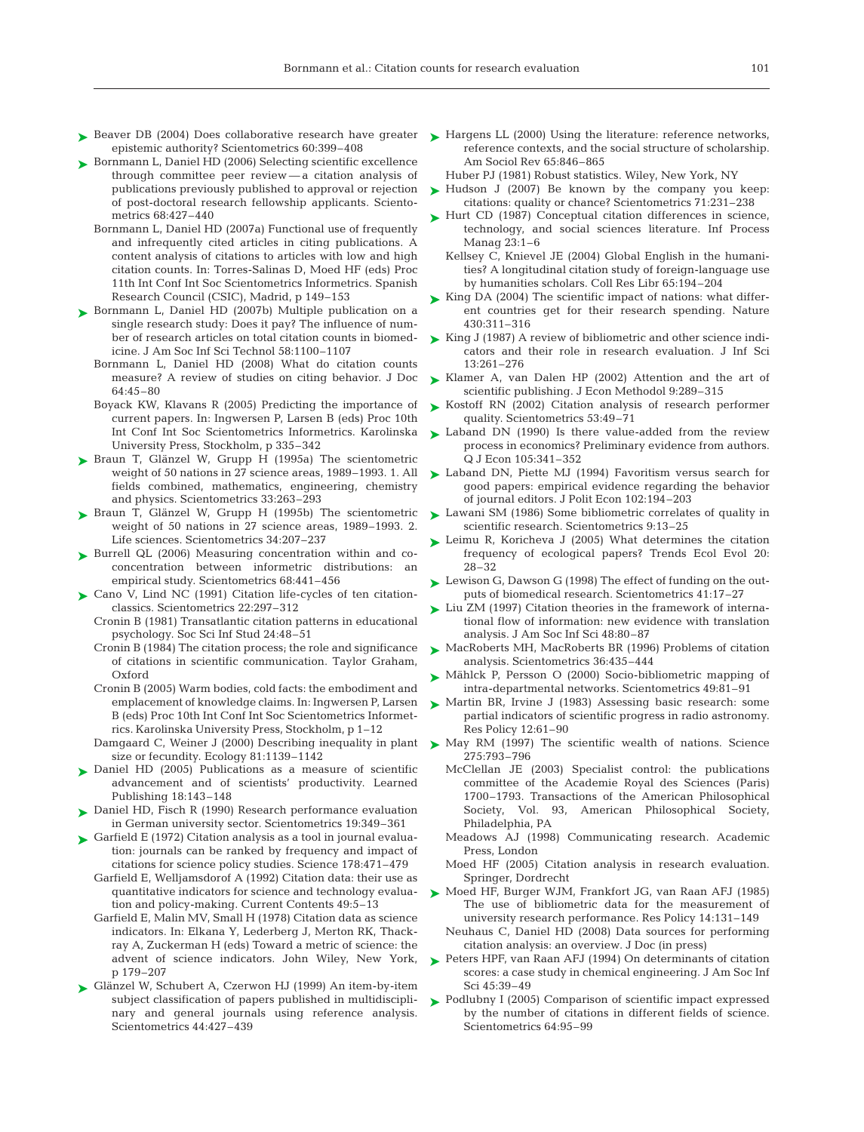- ► Beaver DB (2004) Does collaborative research have greater ► Hargens LL (2000) Using the literature: reference networks, epistemic authority? Scientometrics 60:399–408
- ► Bornmann L, Daniel HD (2006) Selecting scientific excellence through committee peer review — a citation analysis of publications previously published to approval or rejection of post-doctoral research fellowship applicants. Scientometrics 68:427–440
	- Bornmann L, Daniel HD (2007a) Functional use of frequently and infrequently cited articles in citing publications. A content analysis of citations to articles with low and high citation counts. In: Torres-Salinas D, Moed HF (eds) Proc 11th Int Conf Int Soc Scientometrics Informetrics. Spanish Research Council (CSIC), Madrid, p 149–153
- ► Bornmann L, Daniel HD (2007b) Multiple publication on a single research study: Does it pay? The influence of number of research articles on total citation counts in biomedicine. J Am Soc Inf Sci Technol 58:1100–1107
	- Bornmann L, Daniel HD (2008) What do citation counts measure? A review of studies on citing behavior. J Doc 64:45–80
	- Boyack KW, Klavans R (2005) Predicting the importance of current papers. In: Ingwersen P, Larsen B (eds) Proc 10th Int Conf Int Soc Scientometrics Informetrics. Karolinska University Press, Stockholm, p 335–342
- ► Braun T, Glänzel W, Grupp H (1995a) The scientometric weight of 50 nations in 27 science areas, 1989–1993. 1. All fields combined, mathematics, engineering, chemistry and physics. Scientometrics 33:263–293
- ▶ Braun T, Glänzel W, Grupp H (1995b) The scientometric weight of 50 nations in 27 science areas, 1989–1993. 2. Life sciences. Scientometrics 34:207–237
- ▶ Burrell QL (2006) Measuring concentration within and coconcentration between informetric distributions: an empirical study. Scientometrics 68:441–456
- ► Cano V, Lind NC (1991) Citation life-cycles of ten citation classics. Scientometrics 22:297–312
	- Cronin B (1981) Transatlantic citation patterns in educational psychology. Soc Sci Inf Stud 24:48–51
	- Cronin B (1984) The citation process; the role and significance of citations in scientific communication. Taylor Graham, Oxford
	- Cronin B (2005) Warm bodies, cold facts: the embodiment and emplacement of knowledge claims. In: Ingwersen P, Larsen B (eds) Proc 10th Int Conf Int Soc Scientometrics Informetrics. Karolinska University Press, Stockholm, p 1–12
	- size or fecundity. Ecology 81:1139–1142
- ▶ Daniel HD (2005) Publications as a measure of scientific advancement and of scientists' productivity. Learned Publishing 18:143–148
- ▶ Daniel HD, Fisch R (1990) Research performance evaluation in German university sector. Scientometrics 19:349–361
- ► Garfield E (1972) Citation analysis as a tool in journal evaluation: journals can be ranked by frequency and impact of citations for science policy studies. Science 178:471–479
	- Garfield E, Welljamsdorof A (1992) Citation data: their use as quantitative indicators for science and technology evaluation and policy-making. Current Contents 49:5–13
	- Garfield E, Malin MV, Small H (1978) Citation data as science indicators. In: Elkana Y, Lederberg J, Merton RK, Thackray A, Zuckerman H (eds) Toward a metric of science: the advent of science indicators. John Wiley, New York, p 179–207
- ► Glänzel W, Schubert A, Czerwon HJ (1999) An item-by-item subject classification of papers published in multidisciplinary and general journals using reference analysis. Scientometrics 44:427–439
- reference contexts, and the social structure of scholarship. Am Sociol Rev 65:846–865
- Huber PJ (1981) Robust statistics. Wiley, New York, NY
- $\blacktriangleright$  Hudson J (2007) Be known by the company you keep: citations: quality or chance? Scientometrics 71:231–238
- ► Hurt CD (1987) Conceptual citation differences in science, technology, and social sciences literature. Inf Process Manag 23:1–6
	- Kellsey C, Knievel JE (2004) Global English in the humanities? A longitudinal citation study of foreign-language use by humanities scholars. Coll Res Libr 65:194–204
- ► King DA (2004) The scientific impact of nations: what different countries get for their research spending. Nature 430:311–316
- ► King J (1987) A review of bibliometric and other science indicators and their role in research evaluation. J Inf Sci 13:261–276
- $\blacktriangleright$  Klamer A, van Dalen HP (2002) Attention and the art of scientific publishing. J Econ Methodol 9:289–315
- ► Kostoff RN (2002) Citation analysis of research performer quality. Scientometrics 53:49–71
- ► Laband DN (1990) Is there value-added from the review process in economics? Preliminary evidence from authors. Q J Econ 105:341–352
- ► Laband DN, Piette MJ (1994) Favoritism versus search for good papers: empirical evidence regarding the behavior of journal editors. J Polit Econ 102:194–203
- ► Lawani SM (1986) Some bibliometric correlates of quality in scientific research. Scientometrics 9:13–25
- ► Leimu R, Koricheva J (2005) What determines the citation frequency of ecological papers? Trends Ecol Evol 20: 28–32
- ► Lewison G, Dawson G (1998) The effect of funding on the outputs of biomedical research. Scientometrics 41:17–27
- ► Liu ZM (1997) Citation theories in the framework of international flow of information: new evidence with translation analysis. J Am Soc Inf Sci 48:80–87
- ► MacRoberts MH, MacRoberts BR (1996) Problems of citation analysis. Scientometrics 36:435–444
- ► Mählck P, Persson O (2000) Socio-bibliometric mapping of intra-departmental networks. Scientometrics 49:81–91
- ▶ Martin BR, Irvine J (1983) Assessing basic research: some partial indicators of scientific progress in radio astronomy. Res Policy 12:61–90
- Damgaard C, Weiner J (2000) Describing inequality in plant  $\quadblacktriangleright$  May RM (1997) The scientific wealth of nations. Science 275:793–796
	- McClellan JE (2003) Specialist control: the publications committee of the Academie Royal des Sciences (Paris) 1700–1793. Transactions of the American Philosophical Society, Vol. 93, American Philosophical Society, Philadelphia, PA
	- Meadows AJ (1998) Communicating research. Academic Press, London
	- Moed HF (2005) Citation analysis in research evaluation. Springer, Dordrecht
	- Moed HF, Burger WJM, Frankfort JG, van Raan AFJ (1985) ➤ The use of bibliometric data for the measurement of university research performance. Res Policy 14:131–149
		- Neuhaus C, Daniel HD (2008) Data sources for performing citation analysis: an overview. J Doc (in press)
	- ▶ Peters HPF, van Raan AFJ (1994) On determinants of citation scores: a case study in chemical engineering. J Am Soc Inf Sci 45:39–49
	- ► Podlubny I (2005) Comparison of scientific impact expressed by the number of citations in different fields of science. Scientometrics 64:95–99